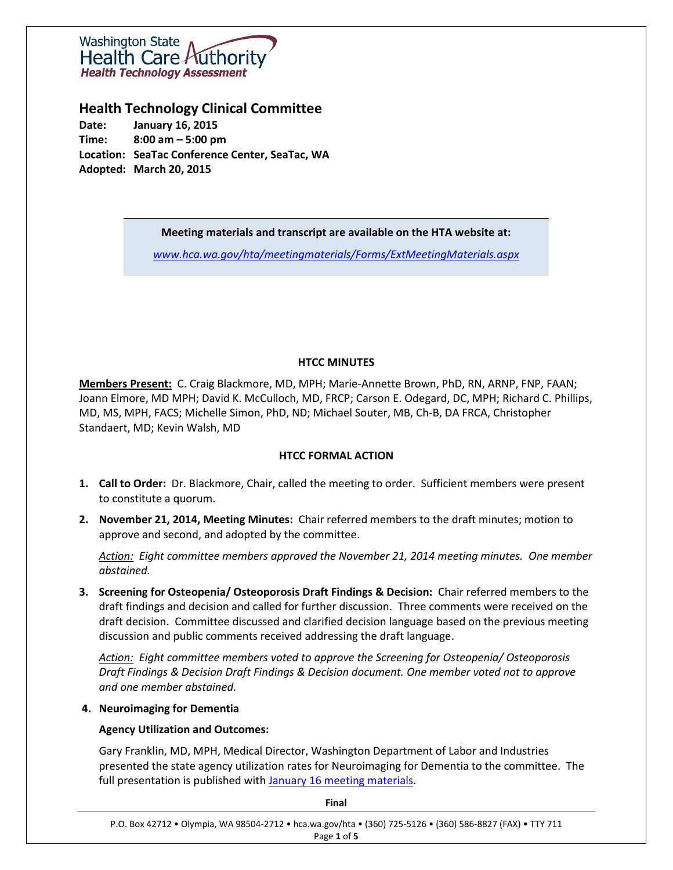

# **Health Technology Clinical Committee**

**Date: January 16, 2015 Time: 8:00 am – 5:00 pm Location: SeaTac Conference Center, SeaTac, WA Adopted: March 20, 2015**

**Meeting materials and transcript are available on the HTA website at:**

*[www.hca.wa.gov/hta/meetingmaterials/Forms/ExtMeetingMaterials.aspx](http://www.hca.wa.gov/hta/meetingmaterials/Forms/ExtMeetingMaterials.aspx)*

# **HTCC MINUTES**

**Members Present:** C. Craig Blackmore, MD, MPH; Marie-Annette Brown, PhD, RN, ARNP, FNP, FAAN; Joann Elmore, MD MPH; David K. McCulloch, MD, FRCP; Carson E. Odegard, DC, MPH; Richard C. Phillips, MD, MS, MPH, FACS; Michelle Simon, PhD, ND; Michael Souter, MB, Ch-B, DA FRCA, Christopher Standaert, MD; Kevin Walsh, MD

# **HTCC FORMAL ACTION**

- **1. Call to Order:** Dr. Blackmore, Chair, called the meeting to order. Sufficient members were present to constitute a quorum.
- **2. November 21, 2014, Meeting Minutes:** Chair referred members to the draft minutes; motion to approve and second, and adopted by the committee.

*Action: Eight committee members approved the November 21, 2014 meeting minutes. One member abstained.* 

**3. Screening for Osteopenia/ Osteoporosis Draft Findings & Decision:** Chair referred members to the draft findings and decision and called for further discussion. Three comments were received on the draft decision. Committee discussed and clarified decision language based on the previous meeting discussion and public comments received addressing the draft language.

*Action: Eight committee members voted to approve the Screening for Osteopenia/ Osteoporosis Draft Findings & Decision Draft Findings & Decision document. One member voted not to approve and one member abstained.*

### **4. Neuroimaging for Dementia**

# **Agency Utilization and Outcomes:**

Gary Franklin, MD, MPH, Medical Director, Washington Department of Labor and Industries presented the state agency utilization rates for Neuroimaging for Dementia to the committee. The full presentation is published with January 16 [meeting materials.](http://www.hca.wa.gov/hta/meetingmaterials/Forms/ExtMeetingMaterials.aspx)

P.O. Box 42712 • Olympia, WA 98504-2712 • hca.wa.gov/hta • (360) 725-5126 • (360) 586-8827 (FAX) • TTY 711 Page **1** of **5**

**Final**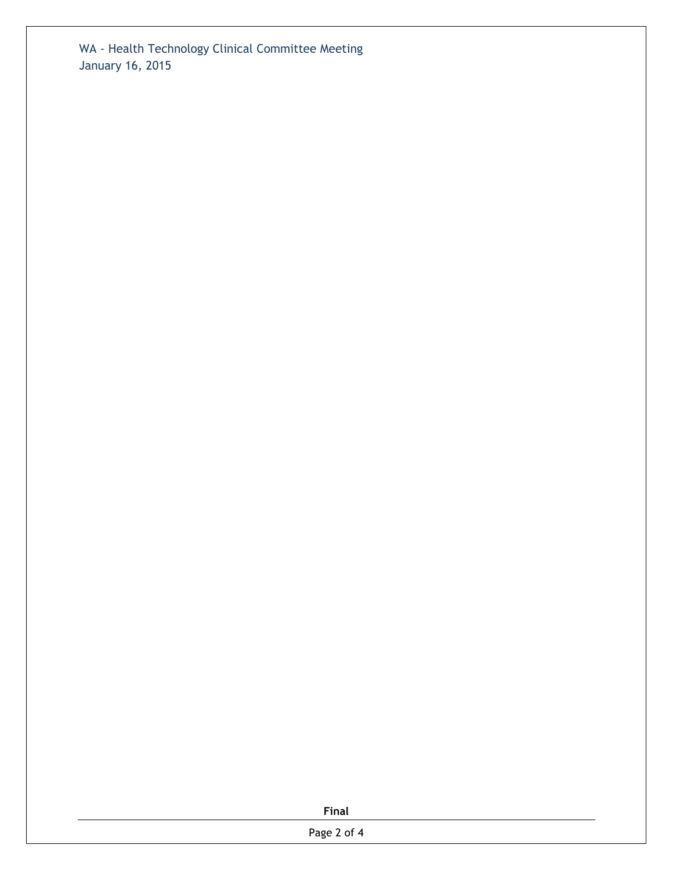WA - Health Technology Clinical Committee Meeting January 16, 2015

Page 2 of 4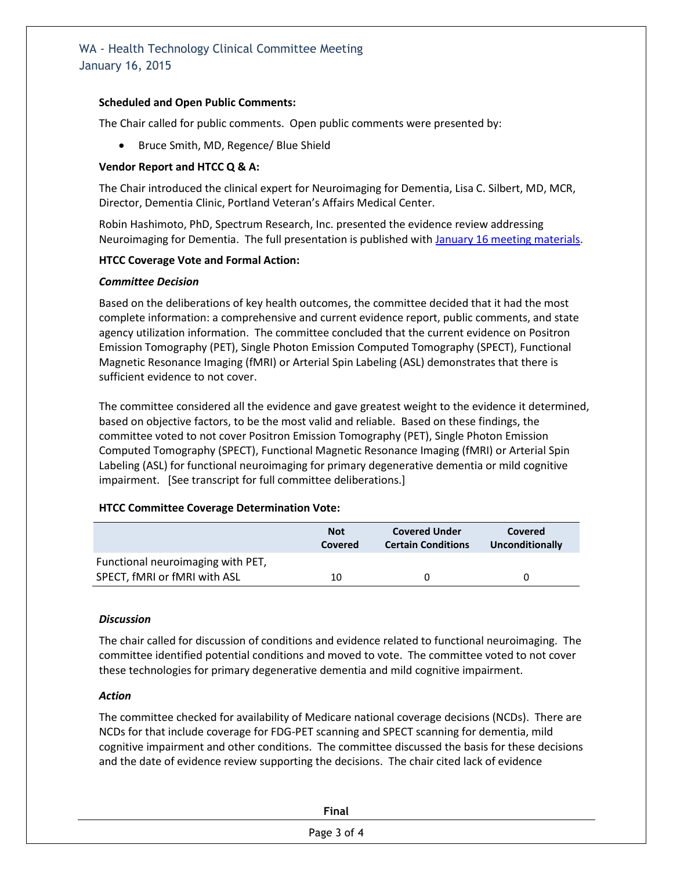# WA - Health Technology Clinical Committee Meeting January 16, 2015

# **Scheduled and Open Public Comments:**

The Chair called for public comments. Open public comments were presented by:

• Bruce Smith, MD, Regence/ Blue Shield

# **Vendor Report and HTCC Q & A:**

The Chair introduced the clinical expert for Neuroimaging for Dementia, Lisa C. Silbert, MD, MCR, Director, Dementia Clinic, Portland Veteran's Affairs Medical Center.

Robin Hashimoto, PhD, Spectrum Research, Inc. presented the evidence review addressing Neuroimaging for Dementia. The full presentation is published with January 16 [meeting materials.](http://www.hca.wa.gov/hta/meetingmaterials/Forms/ExtMeetingMaterials.aspx)

# **HTCC Coverage Vote and Formal Action:**

## *Committee Decision*

Based on the deliberations of key health outcomes, the committee decided that it had the most complete information: a comprehensive and current evidence report, public comments, and state agency utilization information. The committee concluded that the current evidence on Positron Emission Tomography (PET), Single Photon Emission Computed Tomography (SPECT), Functional Magnetic Resonance Imaging (fMRI) or Arterial Spin Labeling (ASL) demonstrates that there is sufficient evidence to not cover.

The committee considered all the evidence and gave greatest weight to the evidence it determined, based on objective factors, to be the most valid and reliable. Based on these findings, the committee voted to not cover Positron Emission Tomography (PET), Single Photon Emission Computed Tomography (SPECT), Functional Magnetic Resonance Imaging (fMRI) or Arterial Spin Labeling (ASL) for functional neuroimaging for primary degenerative dementia or mild cognitive impairment. [See transcript for full committee deliberations.]

# **HTCC Committee Coverage Determination Vote:**

|                                   | <b>Not</b><br>Covered | <b>Covered Under</b><br><b>Certain Conditions</b> | Covered<br>Unconditionally |
|-----------------------------------|-----------------------|---------------------------------------------------|----------------------------|
| Functional neuroimaging with PET, |                       |                                                   |                            |
| SPECT, fMRI or fMRI with ASL      | 10                    | $\mathbf{U}$                                      |                            |

### *Discussion*

The chair called for discussion of conditions and evidence related to functional neuroimaging. The committee identified potential conditions and moved to vote. The committee voted to not cover these technologies for primary degenerative dementia and mild cognitive impairment.

# *Action*

The committee checked for availability of Medicare national coverage decisions (NCDs). There are NCDs for that include coverage for FDG-PET scanning and SPECT scanning for dementia, mild cognitive impairment and other conditions. The committee discussed the basis for these decisions and the date of evidence review supporting the decisions. The chair cited lack of evidence

| <b>Final</b> |
|--------------|
| Page 3 of 4  |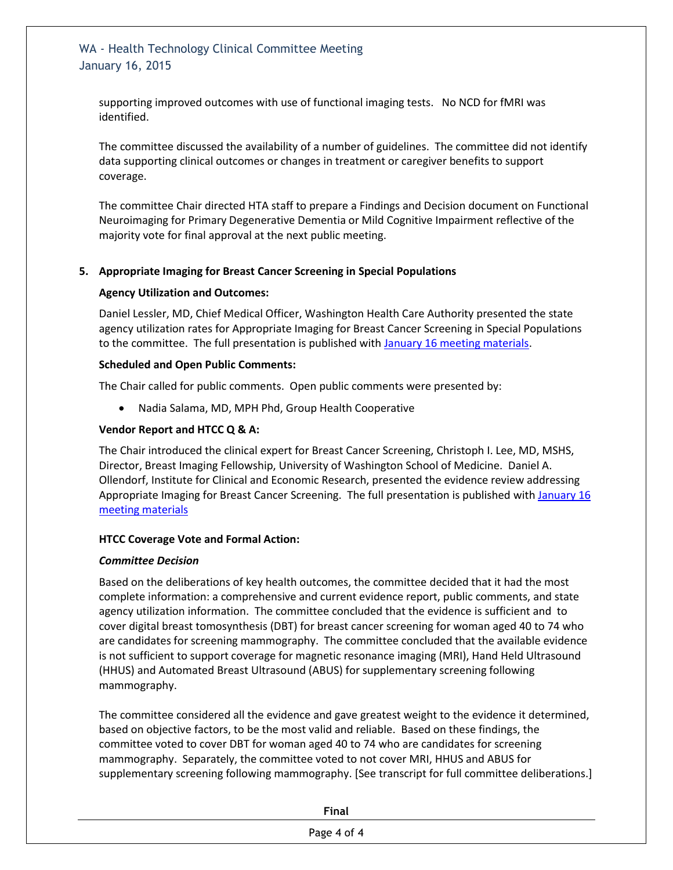# WA - Health Technology Clinical Committee Meeting January 16, 2015

supporting improved outcomes with use of functional imaging tests. No NCD for fMRI was identified.

The committee discussed the availability of a number of guidelines. The committee did not identify data supporting clinical outcomes or changes in treatment or caregiver benefits to support coverage.

The committee Chair directed HTA staff to prepare a Findings and Decision document on Functional Neuroimaging for Primary Degenerative Dementia or Mild Cognitive Impairment reflective of the majority vote for final approval at the next public meeting.

## **5. Appropriate Imaging for Breast Cancer Screening in Special Populations**

### **Agency Utilization and Outcomes:**

Daniel Lessler, MD, Chief Medical Officer, Washington Health Care Authority presented the state agency utilization rates for Appropriate Imaging for Breast Cancer Screening in Special Populations to the committee. The full presentation is published wit[h January 16 meeting materials.](http://www.hca.wa.gov/hta/meetingmaterials/Forms/ExtMeetingMaterials.aspx)

## **Scheduled and Open Public Comments:**

The Chair called for public comments. Open public comments were presented by:

Nadia Salama, MD, MPH Phd, Group Health Cooperative

## **Vendor Report and HTCC Q & A:**

The Chair introduced the clinical expert for Breast Cancer Screening, Christoph I. Lee, MD, MSHS, Director, Breast Imaging Fellowship, University of Washington School of Medicine. Daniel A. Ollendorf, Institute for Clinical and Economic Research, presented the evidence review addressing Appropriate Imaging for Breast Cancer Screening. The full presentation is published wit[h January 16](http://www.hca.wa.gov/hta/meetingmaterials/Forms/ExtMeetingMaterials.aspx) [meeting materials](http://www.hca.wa.gov/hta/meetingmaterials/Forms/ExtMeetingMaterials.aspx)

### **HTCC Coverage Vote and Formal Action:**

### *Committee Decision*

Based on the deliberations of key health outcomes, the committee decided that it had the most complete information: a comprehensive and current evidence report, public comments, and state agency utilization information. The committee concluded that the evidence is sufficient and to cover digital breast tomosynthesis (DBT) for breast cancer screening for woman aged 40 to 74 who are candidates for screening mammography. The committee concluded that the available evidence is not sufficient to support coverage for magnetic resonance imaging (MRI), Hand Held Ultrasound (HHUS) and Automated Breast Ultrasound (ABUS) for supplementary screening following mammography.

The committee considered all the evidence and gave greatest weight to the evidence it determined, based on objective factors, to be the most valid and reliable. Based on these findings, the committee voted to cover DBT for woman aged 40 to 74 who are candidates for screening mammography. Separately, the committee voted to not cover MRI, HHUS and ABUS for supplementary screening following mammography. [See transcript for full committee deliberations.]

| <b>Final</b> |  |
|--------------|--|
| Page 4 of 4  |  |